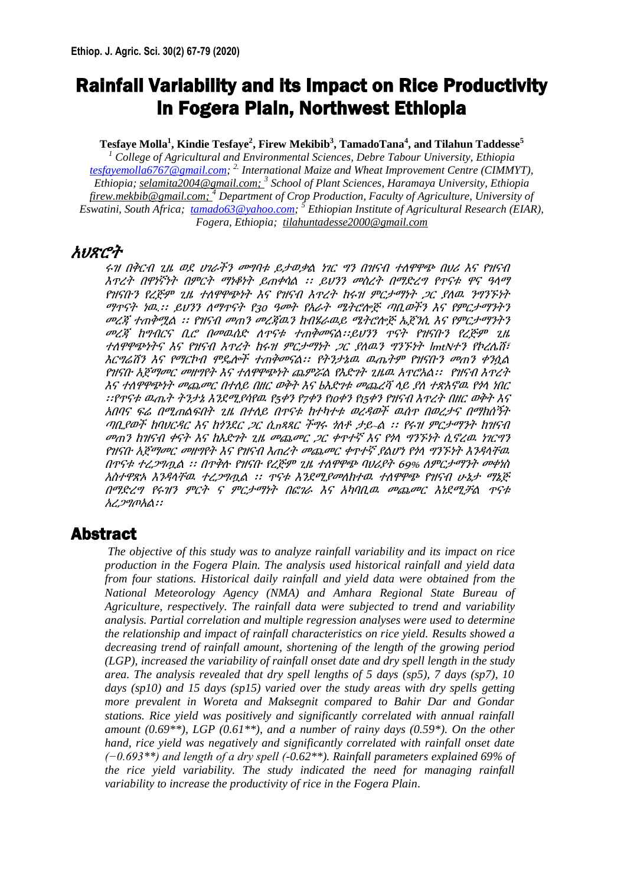# Rainfall Variability and its Impact on Rice Productivity in Fogera Plain, Northwest Ethiopia

**Tesfaye Molla<sup>1</sup> , Kindie Tesfaye<sup>2</sup> , Firew Mekibib<sup>3</sup> , TamadoTana<sup>4</sup> , and Tilahun Taddesse<sup>5</sup>**

*<sup>1</sup> College of Agricultural and Environmental Sciences, Debre Tabour University, Ethiopia [tesfayemolla6767@gmail.com;](mailto:tesfayemolla6767@gmail.com) 2. International Maize and Wheat Improvement Centre (CIMMYT), Ethiopia[; selamita2004@gmail.com;](mailto:selamita2004@gmail.com) <sup>3</sup> School of Plant Sciences, Haramaya University, Ethiopia [firew.mekbib@gmail.com;](mailto:firew.mekbib@gmail.com) <sup>4</sup> Department of Crop Production, Faculty of Agriculture, University of Eswatini, South Africa; [tamado63@yahoo.com;](mailto:tamado63@yahoo.com) <sup>5</sup> Ethiopian Institute of Agricultural Research (EIAR), Fogera, Ethiopia; [tilahuntadesse2000@gmail.com](mailto:tilahuntadesse2000@gmail.com)*

# አህጽሮት

ሩዝ በቅርብ ጊዜ ወደ ሀገራችን መግባቱ ይታወቃል ነገር ግን በዝናብ ተለዋዋጭ በህሪ እና የዝናብ እጥረት በዋነኛነት በምርት ማነቆነት ይጠቀሳል ፡፡ ይህንን መስረት በማድረግ የጥናቱ ዋና ዓላማ የዝናቡን የረጅም ጊዜ ተለዋዋጭነት እና የዝናብ እጥረት ከሩዝ ምርታማነት ጋር ያለዉ ንግንኙነት ማጥናት ነዉ.፡፡ ይህንን ለማጥናት የ30 ዓመት የአራት ሜትሮሎጅ ጣቢወችን እና የምርታማንትን መረጃ ተጠቅሟል ፡፡ የዝናብ መጠን መረጃዉን ከብሄራዉይ ሜትሮሎጅ ኤጀንሲ እና የምርታማንትን መረጃ ከግብርና ቢሮ በመዉሰድ ለጥናቱ ተጠቅመናል፡፡ይህንን ጥናት የዝናቡን የረጅም ጊዜ ተለዋዋጭነትና እና የዝናብ እጥረት ከሩዝ ምርታማነት ጋር ያለዉን ግንኙነት lmtNተን የኮረሌሽ፣ እርግሬሽን እና የማርኮብ ሞዴሎች ተጠቅመናል፡፡ የትንታኔዉ ዉጤትም የዝናቡን መጠን ቀንሷል የዝናቡ አጀማመር መዘግየት እና ተለዋዋጭነት ጨምሯል የእድገት ጊዜዉ አጥሮአል፡፡ የዝናብ እጥረት እና ተለዋዋጭነት መጨመር በተለይ በዘር ወቅት እና bእድገቱ መጨረሻ ላይ ያለ ተጽእኖዉ የጎላ ነበር ፡፡የጥናቱ ዉጤት ትንታኔ እንደሚያሳየዉ የ5ቀን የ7ቀን የ10ቀን የ15ቀን የዝናብ እጥረት በዘር ወቅት እና አበባና ፍሬ በሚጠልፍበት ጊዜ በተለይ በጥናቱ ከተካተቱ ወረዳወች ዉሰጥ በወረታና በማክሰኝት ጣቢያወች ከባህርዳር እና ከጎንደር ጋር ሲnጻጻር ችግሩ ጎለቶ ታይ~ል ፡፡ የሩዝ ምርታማንት ከዝናብ መጠን ከዝናብ ቀናት እና ከእድገት ጊዜ መጨመር ጋር ቀጥተኛ እና የጎላ ግንኙነት ሲኖረዉ ነገርግን የዝናቡ አጀማመር መዘግየት እና የዝናብ እጠረት መጨመር ቀጥተኛ ያልሆነ የጎላ ግንኙነት እንዳላቸዉ በጥናቱ ተረጋግጧል ፡፡ በጥቅሉ የዝናቡ የረጅም ጊዜ ተለዋዋጭ ባህሪያት 69% ለምርታማንት መቀነስ አስተዋጽኦ እንዳላቸዉ ተረጋግጧል ፡፡ ጥናቱ እንደሚያመለክተዉ ተለዋዋጭ የዝናብ ሁኔታ ማኔጅ በማድረግ የሩዝን ምርት ና ምርታማነት በፎገራ እና አካባቢዉ መጨመር እነደሚቻል ጥናቱ አረጋግጦአል፡፡

# Abstract

*The objective of this study was to analyze rainfall variability and its impact on rice production in the Fogera Plain. The analysis used historical rainfall and yield data from four stations. Historical daily rainfall and yield data were obtained from the National Meteorology Agency (NMA) and Amhara Regional State Bureau of Agriculture, respectively. The rainfall data were subjected to trend and variability analysis. Partial correlation and multiple regression analyses were used to determine the relationship and impact of rainfall characteristics on rice yield. Results showed a decreasing trend of rainfall amount, shortening of the length of the growing period (LGP), increased the variability of rainfall onset date and dry spell length in the study area. The analysis revealed that dry spell lengths of 5 days (sp5), 7 days (sp7), 10 days (sp10) and 15 days (sp15) varied over the study areas with dry spells getting more prevalent in Woreta and Maksegnit compared to Bahir Dar and Gondar stations. Rice yield was positively and significantly correlated with annual rainfall amount (0.69\*\*), LGP (0.61\*\*), and a number of rainy days (0.59\*). On the other hand, rice yield was negatively and significantly correlated with rainfall onset date (−0.693\*\*) and length of a dry spell (-0.62\*\*). Rainfall parameters explained 69% of the rice yield variability. The study indicated the need for managing rainfall variability to increase the productivity of rice in the Fogera Plain*.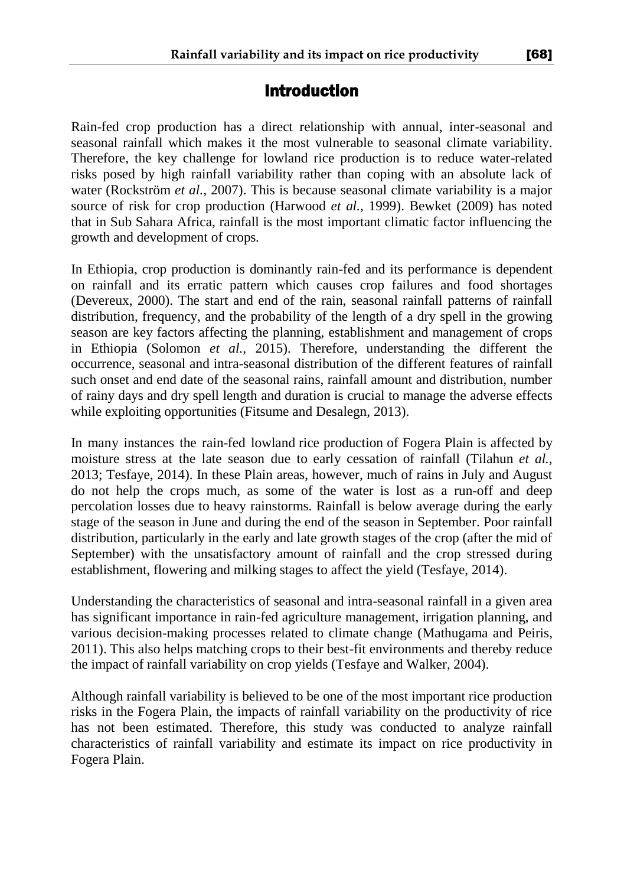# **Introduction**

Rain-fed crop production has a direct relationship with annual, inter-seasonal and seasonal rainfall which makes it the most vulnerable to seasonal climate variability. Therefore, the key challenge for lowland rice production is to reduce water-related risks posed by high rainfall variability rather than coping with an absolute lack of water (Rockström *et al.,* 2007). This is because seasonal climate variability is a major source of risk for crop production (Harwood *et al.,* 1999). Bewket (2009) has noted that in Sub Sahara Africa, rainfall is the most important climatic factor influencing the growth and development of crops*.* 

In Ethiopia, crop production is dominantly rain-fed and its performance is dependent on rainfall and its erratic pattern which causes crop failures and food shortages (Devereux, 2000). The start and end of the rain, seasonal rainfall patterns of rainfall distribution, frequency, and the probability of the length of a dry spell in the growing season are key factors affecting the planning, establishment and management of crops in Ethiopia (Solomon *et al.,* 2015). Therefore, understanding the different the occurrence, seasonal and intra-seasonal distribution of the different features of rainfall such onset and end date of the seasonal rains, rainfall amount and distribution, number of rainy days and dry spell length and duration is crucial to manage the adverse effects while exploiting opportunities (Fitsume and Desalegn, 2013).

In many instances the rain-fed lowland rice production of Fogera Plain is affected by moisture stress at the late season due to early cessation of rainfall (Tilahun *et al.,* 2013; Tesfaye, 2014). In these Plain areas, however, much of rains in July and August do not help the crops much, as some of the water is lost as a run-off and deep percolation losses due to heavy rainstorms. Rainfall is below average during the early stage of the season in June and during the end of the season in September. Poor rainfall distribution, particularly in the early and late growth stages of the crop (after the mid of September) with the unsatisfactory amount of rainfall and the crop stressed during establishment, flowering and milking stages to affect the yield (Tesfaye, 2014).

Understanding the characteristics of seasonal and intra-seasonal rainfall in a given area has significant importance in rain-fed agriculture management, irrigation planning, and various decision-making processes related to climate change (Mathugama and Peiris, 2011). This also helps matching crops to their best-fit environments and thereby reduce the impact of rainfall variability on crop yields (Tesfaye and Walker, 2004).

Although rainfall variability is believed to be one of the most important rice production risks in the Fogera Plain, the impacts of rainfall variability on the productivity of rice has not been estimated. Therefore, this study was conducted to analyze rainfall characteristics of rainfall variability and estimate its impact on rice productivity in Fogera Plain.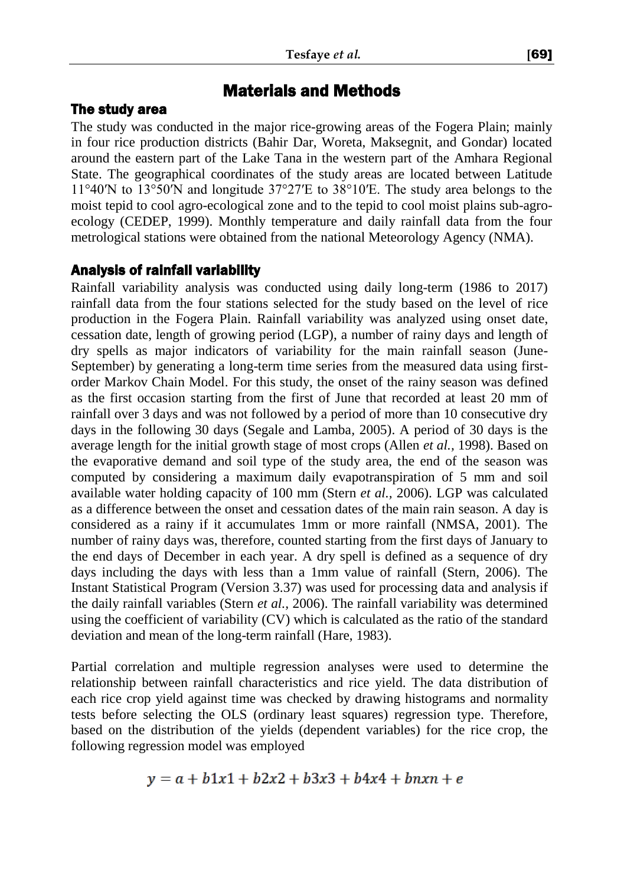# Materials and Methods

# The study area

The study was conducted in the major rice-growing areas of the Fogera Plain; mainly in four rice production districts (Bahir Dar, Woreta, Maksegnit, and Gondar) located around the eastern part of the Lake Tana in the western part of the Amhara Regional State. The geographical coordinates of the study areas are located between Latitude 11°40′N to 13°50′N and longitude 37°27′E to 38°10′E. The study area belongs to the moist tepid to cool agro-ecological zone and to the tepid to cool moist plains sub-agroecology (CEDEP, 1999). Monthly temperature and daily rainfall data from the four metrological stations were obtained from the national Meteorology Agency (NMA).

# Analysis of rainfall variability

Rainfall variability analysis was conducted using daily long-term (1986 to 2017) rainfall data from the four stations selected for the study based on the level of rice production in the Fogera Plain. Rainfall variability was analyzed using onset date, cessation date, length of growing period (LGP), a number of rainy days and length of dry spells as major indicators of variability for the main rainfall season (June-September) by generating a long-term time series from the measured data using firstorder Markov Chain Model. For this study, the onset of the rainy season was defined as the first occasion starting from the first of June that recorded at least 20 mm of rainfall over 3 days and was not followed by a period of more than 10 consecutive dry days in the following 30 days (Segale and Lamba*,* 2005). A period of 30 days is the average length for the initial growth stage of most crops (Allen *et al.,* 1998). Based on the evaporative demand and soil type of the study area, the end of the season was computed by considering a maximum daily evapotranspiration of 5 mm and soil available water holding capacity of 100 mm (Stern *et al.,* 2006). LGP was calculated as a difference between the onset and cessation dates of the main rain season. A day is considered as a rainy if it accumulates 1mm or more rainfall (NMSA, 2001). The number of rainy days was, therefore, counted starting from the first days of January to the end days of December in each year. A dry spell is defined as a sequence of dry days including the days with less than a 1mm value of rainfall (Stern, 2006). The Instant Statistical Program (Version 3.37) was used for processing data and analysis if the daily rainfall variables (Stern *et al.,* 2006). The rainfall variability was determined using the coefficient of variability (CV) which is calculated as the ratio of the standard deviation and mean of the long-term rainfall (Hare, 1983).

Partial correlation and multiple regression analyses were used to determine the relationship between rainfall characteristics and rice yield. The data distribution of each rice crop yield against time was checked by drawing histograms and normality tests before selecting the OLS (ordinary least squares) regression type. Therefore, based on the distribution of the yields (dependent variables) for the rice crop, the following regression model was employed

$$
y = a + b1x1 + b2x2 + b3x3 + b4x4 + bnxn + e
$$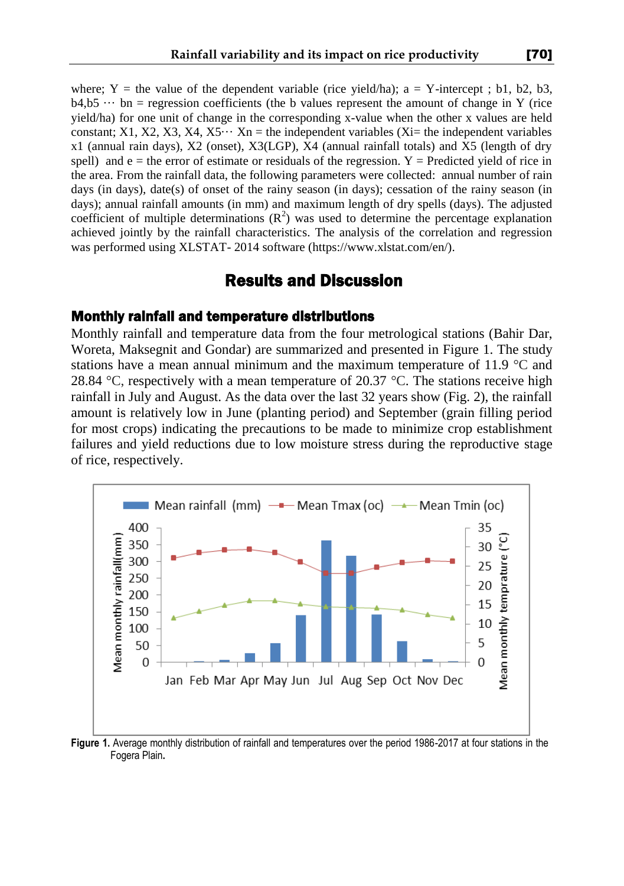where; Y = the value of the dependent variable (rice yield/ha);  $a = Y$ -intercept; b1, b2, b3,  $b4, b5 \cdots$  bn = regression coefficients (the b values represent the amount of change in Y (rice yield/ha) for one unit of change in the corresponding x-value when the other x values are held constant; X1, X2, X3, X4, X5 $\cdots$  Xn = the independent variables (Xi= the independent variables x1 (annual rain days), X2 (onset), X3(LGP), X4 (annual rainfall totals) and X5 (length of dry spell) and  $e =$  the error of estimate or residuals of the regression. Y = Predicted yield of rice in the area. From the rainfall data, the following parameters were collected: annual number of rain days (in days), date(s) of onset of the rainy season (in days); cessation of the rainy season (in days); annual rainfall amounts (in mm) and maximum length of dry spells (days). The adjusted coefficient of multiple determinations  $(R^2)$  was used to determine the percentage explanation achieved jointly by the rainfall characteristics. The analysis of the correlation and regression was performed using XLSTAT- 2014 software (https://www.xlstat.com/en/).

# Results and Discussion

#### Monthly rainfall and temperature distributions

Monthly rainfall and temperature data from the four metrological stations (Bahir Dar, Woreta, Maksegnit and Gondar) are summarized and presented in Figure 1. The study stations have a mean annual minimum and the maximum temperature of 11.9 °C and 28.84  $\degree$ C, respectively with a mean temperature of 20.37  $\degree$ C. The stations receive high rainfall in July and August. As the data over the last 32 years show (Fig. 2), the rainfall amount is relatively low in June (planting period) and September (grain filling period for most crops) indicating the precautions to be made to minimize crop establishment failures and yield reductions due to low moisture stress during the reproductive stage of rice, respectively.



**Figure 1.** Average monthly distribution of rainfall and temperatures over the period 1986-2017 at four stations in the Fogera Plain**.**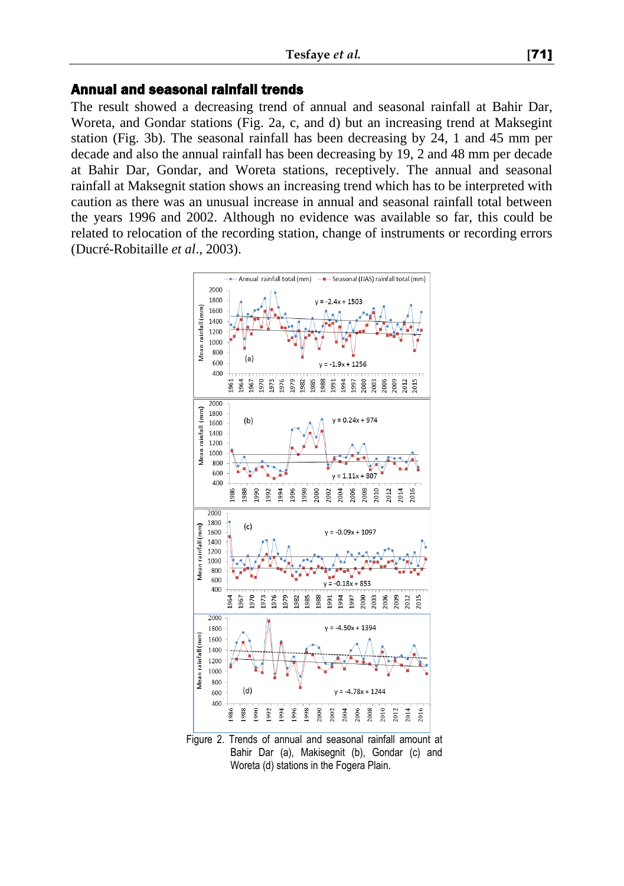#### Annual and seasonal rainfall trends

The result showed a decreasing trend of annual and seasonal rainfall at Bahir Dar, Woreta, and Gondar stations (Fig. 2a, c, and d) but an increasing trend at Maksegint station (Fig. 3b). The seasonal rainfall has been decreasing by 24, 1 and 45 mm per decade and also the annual rainfall has been decreasing by 19, 2 and 48 mm per decade at Bahir Dar, Gondar, and Woreta stations, receptively. The annual and seasonal rainfall at Maksegnit station shows an increasing trend which has to be interpreted with caution as there was an unusual increase in annual and seasonal rainfall total between the years 1996 and 2002. Although no evidence was available so far, this could be related to relocation of the recording station, change of instruments or recording errors (Ducré-Robitaille *et al*., 2003).



Bahir Dar (a), Makisegnit (b), Gondar (c) and Woreta (d) stations in the Fogera Plain.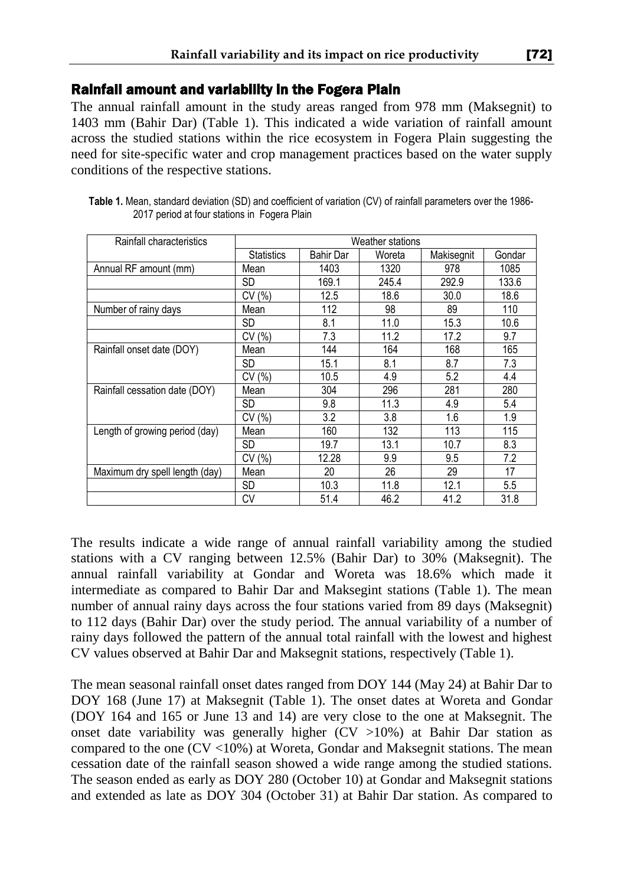### Rainfall amount and variability in the Fogera Plain

The annual rainfall amount in the study areas ranged from 978 mm (Maksegnit) to 1403 mm (Bahir Dar) (Table 1). This indicated a wide variation of rainfall amount across the studied stations within the rice ecosystem in Fogera Plain suggesting the need for site-specific water and crop management practices based on the water supply conditions of the respective stations.

| Rainfall characteristics       | Weather stations  |           |        |            |         |  |
|--------------------------------|-------------------|-----------|--------|------------|---------|--|
|                                | <b>Statistics</b> | Bahir Dar | Woreta | Makisegnit | Gondar  |  |
| Annual RF amount (mm)          | Mean              | 1403      | 1320   | 978        | 1085    |  |
|                                | <b>SD</b>         | 169.1     | 245.4  | 292.9      | 133.6   |  |
|                                | CV(%)             | 12.5      | 18.6   | 30.0       | 18.6    |  |
| Number of rainy days           | Mean              | 112       | 98     | 89         | 110     |  |
|                                | SD                | 8.1       | 11.0   | 15.3       | 10.6    |  |
|                                | CV(%)             | 7.3       | 11.2   | 17.2       | 9.7     |  |
| Rainfall onset date (DOY)      | Mean              | 144       | 164    | 168        | 165     |  |
|                                | SD                | 15.1      | 8.1    | 8.7        | 7.3     |  |
|                                | CV(%)             | 10.5      | 4.9    | 5.2        | 4.4     |  |
| Rainfall cessation date (DOY)  | Mean              | 304       | 296    | 281        | 280     |  |
|                                | <b>SD</b>         | 9.8       | 11.3   | 4.9        | 5.4     |  |
|                                | CV(%)             | 3.2       | 3.8    | 1.6        | 1.9     |  |
| Length of growing period (day) | Mean              | 160       | 132    | 113        | 115     |  |
|                                | SD                | 19.7      | 13.1   | 10.7       | 8.3     |  |
|                                | CV(%)             | 12.28     | 9.9    | 9.5        | 7.2     |  |
| Maximum dry spell length (day) | Mean              | 20        | 26     | 29         | 17      |  |
|                                | SD                | 10.3      | 11.8   | 12.1       | $5.5\,$ |  |
|                                | CV                | 51.4      | 46.2   | 41.2       | 31.8    |  |

**Table 1.** Mean, standard deviation (SD) and coefficient of variation (CV) of rainfall parameters over the 1986- 2017 period at four stations in Fogera Plain

The results indicate a wide range of annual rainfall variability among the studied stations with a CV ranging between 12.5% (Bahir Dar) to 30% (Maksegnit). The annual rainfall variability at Gondar and Woreta was 18.6% which made it intermediate as compared to Bahir Dar and Maksegint stations (Table 1). The mean number of annual rainy days across the four stations varied from 89 days (Maksegnit) to 112 days (Bahir Dar) over the study period. The annual variability of a number of rainy days followed the pattern of the annual total rainfall with the lowest and highest CV values observed at Bahir Dar and Maksegnit stations, respectively (Table 1).

The mean seasonal rainfall onset dates ranged from DOY 144 (May 24) at Bahir Dar to DOY 168 (June 17) at Maksegnit (Table 1). The onset dates at Woreta and Gondar (DOY 164 and 165 or June 13 and 14) are very close to the one at Maksegnit. The onset date variability was generally higher (CV >10%) at Bahir Dar station as compared to the one  $(CV < 10\%)$  at Woreta, Gondar and Maksegnit stations. The mean cessation date of the rainfall season showed a wide range among the studied stations. The season ended as early as DOY 280 (October 10) at Gondar and Maksegnit stations and extended as late as DOY 304 (October 31) at Bahir Dar station. As compared to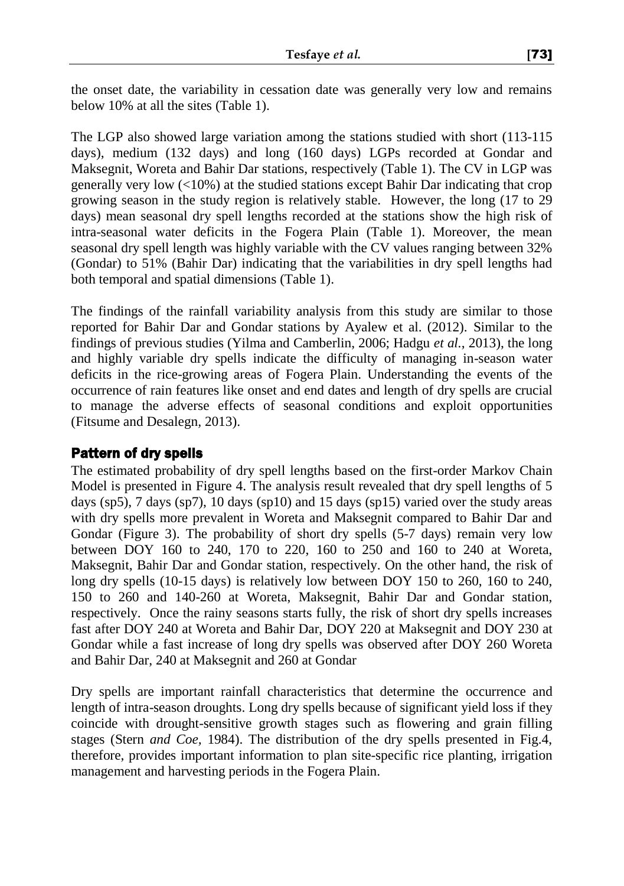the onset date, the variability in cessation date was generally very low and remains below 10% at all the sites (Table 1).

The LGP also showed large variation among the stations studied with short (113-115 days), medium (132 days) and long (160 days) LGPs recorded at Gondar and Maksegnit, Woreta and Bahir Dar stations, respectively (Table 1). The CV in LGP was generally very low (<10%) at the studied stations except Bahir Dar indicating that crop growing season in the study region is relatively stable. However, the long (17 to 29 days) mean seasonal dry spell lengths recorded at the stations show the high risk of intra-seasonal water deficits in the Fogera Plain (Table 1). Moreover, the mean seasonal dry spell length was highly variable with the CV values ranging between 32% (Gondar) to 51% (Bahir Dar) indicating that the variabilities in dry spell lengths had both temporal and spatial dimensions (Table 1).

The findings of the rainfall variability analysis from this study are similar to those reported for Bahir Dar and Gondar stations by Ayalew et al. (2012). Similar to the findings of previous studies (Yilma and Camberlin, 2006; Hadgu *et al.*, 2013), the long and highly variable dry spells indicate the difficulty of managing in-season water deficits in the rice-growing areas of Fogera Plain. Understanding the events of the occurrence of rain features like onset and end dates and length of dry spells are crucial to manage the adverse effects of seasonal conditions and exploit opportunities (Fitsume and Desalegn*,* 2013).

### Pattern of dry spells

The estimated probability of dry spell lengths based on the first-order Markov Chain Model is presented in Figure 4. The analysis result revealed that dry spell lengths of 5 days ( $\text{sp5}$ ), 7 days ( $\text{sp7}$ ), 10 days ( $\text{sp10}$ ) and 15 days ( $\text{sp15}$ ) varied over the study areas with dry spells more prevalent in Woreta and Maksegnit compared to Bahir Dar and Gondar (Figure 3). The probability of short dry spells (5-7 days) remain very low between DOY 160 to 240, 170 to 220, 160 to 250 and 160 to 240 at Woreta, Maksegnit, Bahir Dar and Gondar station, respectively. On the other hand, the risk of long dry spells (10-15 days) is relatively low between DOY 150 to 260, 160 to 240, 150 to 260 and 140-260 at Woreta, Maksegnit, Bahir Dar and Gondar station, respectively. Once the rainy seasons starts fully, the risk of short dry spells increases fast after DOY 240 at Woreta and Bahir Dar, DOY 220 at Maksegnit and DOY 230 at Gondar while a fast increase of long dry spells was observed after DOY 260 Woreta and Bahir Dar, 240 at Maksegnit and 260 at Gondar

Dry spells are important rainfall characteristics that determine the occurrence and length of intra-season droughts. Long dry spells because of significant yield loss if they coincide with drought-sensitive growth stages such as flowering and grain filling stages (Stern *and Coe,* 1984). The distribution of the dry spells presented in Fig.4, therefore, provides important information to plan site-specific rice planting, irrigation management and harvesting periods in the Fogera Plain.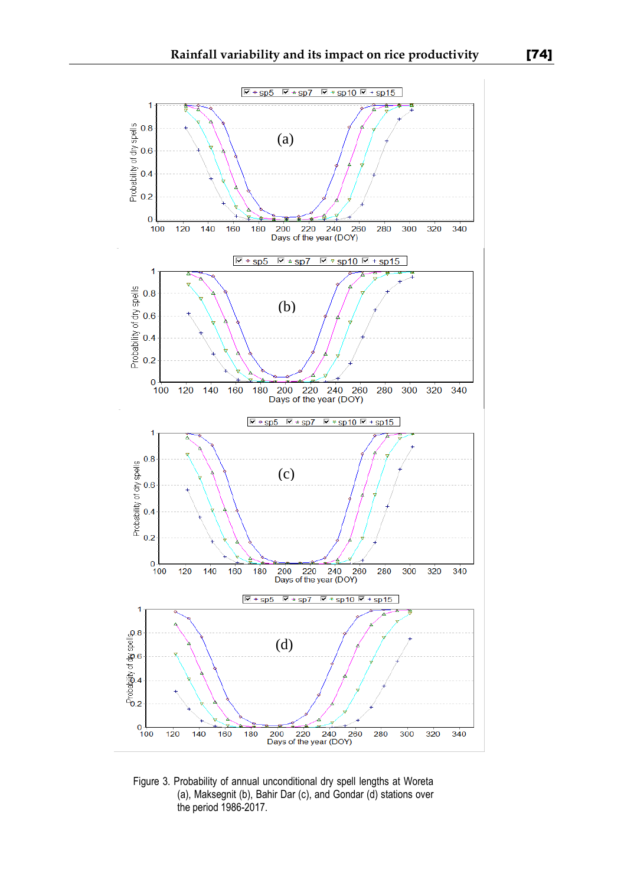

Figure 3. Probability of annual unconditional dry spell lengths at Woreta (a), Maksegnit (b), Bahir Dar (c), and Gondar (d) stations over the period 1986-2017.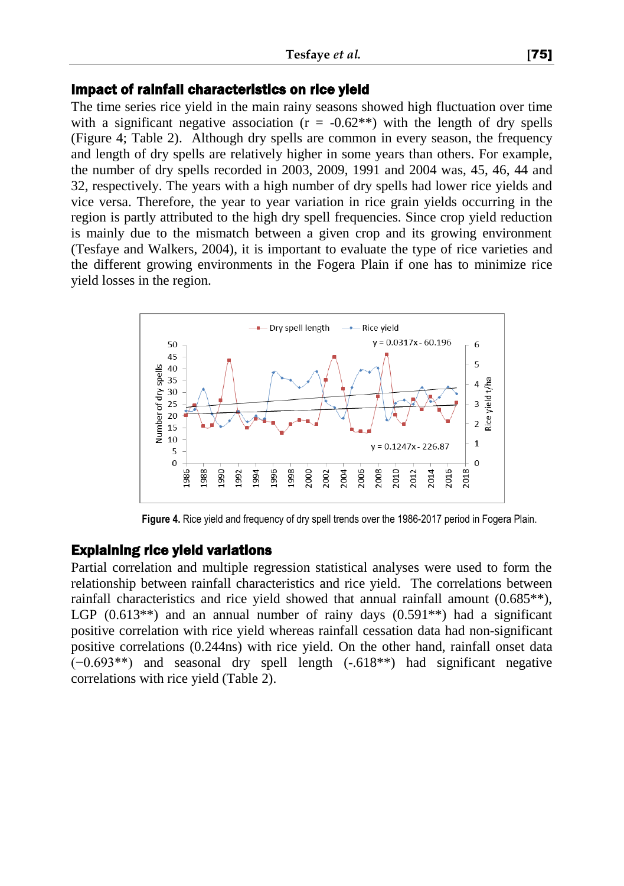#### Impact of rainfall characteristics on rice yield

The time series rice yield in the main rainy seasons showed high fluctuation over time with a significant negative association ( $r = -0.62**$ ) with the length of dry spells (Figure 4; Table 2). Although dry spells are common in every season, the frequency and length of dry spells are relatively higher in some years than others. For example, the number of dry spells recorded in 2003, 2009, 1991 and 2004 was, 45, 46, 44 and 32, respectively. The years with a high number of dry spells had lower rice yields and vice versa. Therefore, the year to year variation in rice grain yields occurring in the region is partly attributed to the high dry spell frequencies. Since crop yield reduction is mainly due to the mismatch between a given crop and its growing environment (Tesfaye and Walkers, 2004), it is important to evaluate the type of rice varieties and the different growing environments in the Fogera Plain if one has to minimize rice yield losses in the region.



**Figure 4.** Rice yield and frequency of dry spell trends over the 1986-2017 period in Fogera Plain.

#### Explaining rice yield variations

Partial correlation and multiple regression statistical analyses were used to form the relationship between rainfall characteristics and rice yield. The correlations between rainfall characteristics and rice yield showed that annual rainfall amount (0.685\*\*), LGP  $(0.613^{**})$  and an annual number of rainy days  $(0.591^{**})$  had a significant positive correlation with rice yield whereas rainfall cessation data had non-significant positive correlations (0.244ns) with rice yield. On the other hand, rainfall onset data (−0.693\*\*) and seasonal dry spell length (-.618\*\*) had significant negative correlations with rice yield (Table 2).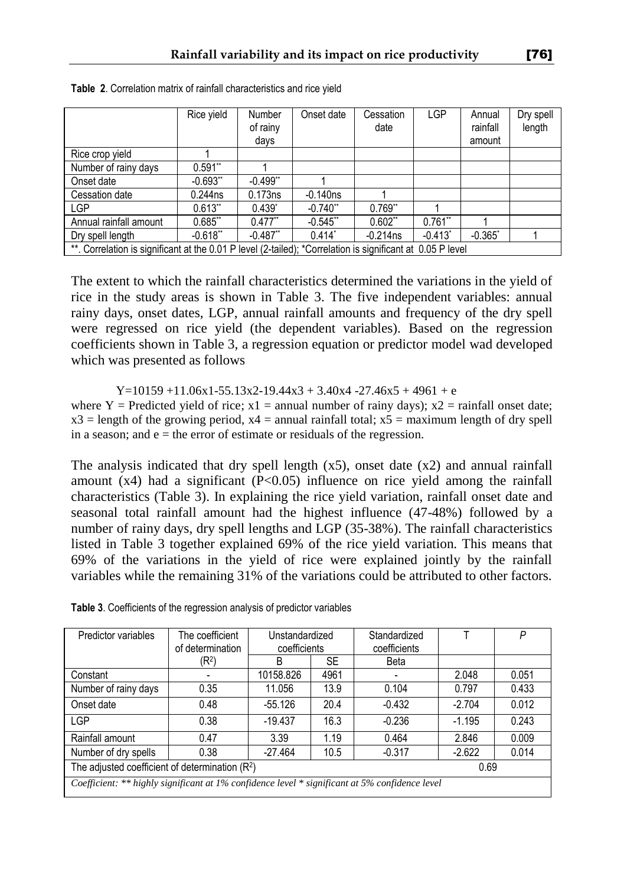|                                                                                                            | Rice vield | Number<br>of rainy<br>days | Onset date  | Cessation<br>date | <b>LGP</b>            | Annual<br>rainfall<br>amount | Dry spell<br>length |
|------------------------------------------------------------------------------------------------------------|------------|----------------------------|-------------|-------------------|-----------------------|------------------------------|---------------------|
| Rice crop yield                                                                                            |            |                            |             |                   |                       |                              |                     |
| Number of rainy days                                                                                       | $0.591**$  |                            |             |                   |                       |                              |                     |
| Onset date                                                                                                 | $-0.693**$ | $-0.499$ <sup>**</sup>     |             |                   |                       |                              |                     |
| Cessation date                                                                                             | $0.244$ ns | 0.173ns                    | $-0.140ns$  |                   |                       |                              |                     |
| LGP                                                                                                        | $0.613**$  | $0.439^{*}$                | $-0.740$ ** | $0.769**$         |                       |                              |                     |
| Annual rainfall amount                                                                                     | $0.685$ ** | $0.477**$                  | $-0.545$ ** | $0.602**$         | $0.761**$             |                              |                     |
| Dry spell length                                                                                           | $-0.618**$ | $-0.487$ <sup>**</sup>     | $0.414*$    | $-0.214$ ns       | $-0.413$ <sup>*</sup> | $-0.365$ <sup>*</sup>        |                     |
| **. Correlation is significant at the 0.01 P level (2-tailed); *Correlation is significant at 0.05 P level |            |                            |             |                   |                       |                              |                     |

**Table 2**. Correlation matrix of rainfall characteristics and rice yield

The extent to which the rainfall characteristics determined the variations in the yield of rice in the study areas is shown in Table 3. The five independent variables: annual rainy days, onset dates, LGP, annual rainfall amounts and frequency of the dry spell were regressed on rice yield (the dependent variables). Based on the regression coefficients shown in Table 3, a regression equation or predictor model wad developed which was presented as follows

 $Y=10159 + 11.06x1 - 55.13x2 - 19.44x3 + 3.40x4 - 27.46x5 + 4961 + e$ where Y = Predicted yield of rice;  $x1$  = annual number of rainy days);  $x2$  = rainfall onset date;  $x3$  = length of the growing period,  $x4$  = annual rainfall total;  $x5$  = maximum length of dry spell in a season; and  $e =$  the error of estimate or residuals of the regression.

The analysis indicated that dry spell length  $(x5)$ , onset date  $(x2)$  and annual rainfall amount  $(x4)$  had a significant  $(P<0.05)$  influence on rice yield among the rainfall characteristics (Table 3). In explaining the rice yield variation, rainfall onset date and seasonal total rainfall amount had the highest influence (47-48%) followed by a number of rainy days, dry spell lengths and LGP (35-38%). The rainfall characteristics listed in Table 3 together explained 69% of the rice yield variation. This means that 69% of the variations in the yield of rice were explained jointly by the rainfall variables while the remaining 31% of the variations could be attributed to other factors.

| Predictor variables                                                                            | The coefficient<br>of determination | Unstandardized<br>coefficients |           | Standardized<br>coefficients |          | P     |  |
|------------------------------------------------------------------------------------------------|-------------------------------------|--------------------------------|-----------|------------------------------|----------|-------|--|
|                                                                                                | (R <sup>2</sup> )                   | B                              | <b>SE</b> | Beta                         |          |       |  |
| Constant                                                                                       |                                     | 10158.826                      | 4961      |                              | 2.048    | 0.051 |  |
| Number of rainy days                                                                           | 0.35                                | 11.056                         | 13.9      | 0.104                        | 0.797    | 0.433 |  |
| Onset date                                                                                     | 0.48                                | $-55.126$                      | 20.4      | $-0.432$                     | $-2.704$ | 0.012 |  |
| <b>LGP</b>                                                                                     | 0.38                                | $-19.437$                      | 16.3      | $-0.236$                     | $-1.195$ | 0.243 |  |
| Rainfall amount                                                                                | 0.47                                | 3.39                           | 1.19      | 0.464                        | 2.846    | 0.009 |  |
| Number of dry spells                                                                           | 0.38                                | $-27.464$                      | 10.5      | $-0.317$                     | $-2.622$ | 0.014 |  |
| The adjusted coefficient of determination (R <sup>2</sup> )<br>0.69                            |                                     |                                |           |                              |          |       |  |
| Coefficient: ** highly significant at 1% confidence level * significant at 5% confidence level |                                     |                                |           |                              |          |       |  |

**Table 3**. Coefficients of the regression analysis of predictor variables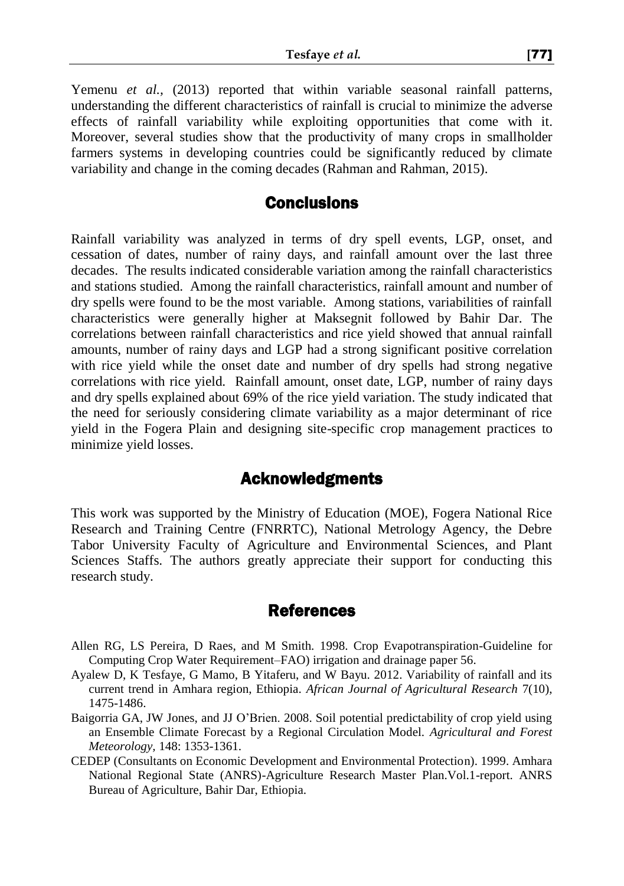Yemenu *et al.*, (2013) reported that within variable seasonal rainfall patterns, understanding the different characteristics of rainfall is crucial to minimize the adverse effects of rainfall variability while exploiting opportunities that come with it. Moreover, several studies show that the productivity of many crops in smallholder farmers systems in developing countries could be significantly reduced by climate variability and change in the coming decades (Rahman and Rahman, 2015).

### **Conclusions**

Rainfall variability was analyzed in terms of dry spell events, LGP, onset, and cessation of dates, number of rainy days, and rainfall amount over the last three decades. The results indicated considerable variation among the rainfall characteristics and stations studied. Among the rainfall characteristics, rainfall amount and number of dry spells were found to be the most variable. Among stations, variabilities of rainfall characteristics were generally higher at Maksegnit followed by Bahir Dar. The correlations between rainfall characteristics and rice yield showed that annual rainfall amounts, number of rainy days and LGP had a strong significant positive correlation with rice yield while the onset date and number of dry spells had strong negative correlations with rice yield. Rainfall amount, onset date, LGP, number of rainy days and dry spells explained about 69% of the rice yield variation. The study indicated that the need for seriously considering climate variability as a major determinant of rice yield in the Fogera Plain and designing site-specific crop management practices to minimize yield losses.

# Acknowledgments

This work was supported by the Ministry of Education (MOE), Fogera National Rice Research and Training Centre (FNRRTC), National Metrology Agency, the Debre Tabor University Faculty of Agriculture and Environmental Sciences, and Plant Sciences Staffs. The authors greatly appreciate their support for conducting this research study.

### References

- Allen RG, LS Pereira, D Raes, and M Smith. 1998. Crop Evapotranspiration-Guideline for Computing Crop Water Requirement–FAO) irrigation and drainage paper 56.
- Ayalew D, K Tesfaye, G Mamo, B Yitaferu, and W Bayu. 2012. Variability of rainfall and its current trend in Amhara region, Ethiopia. *African Journal of Agricultural Research* 7(10), 1475-1486.
- Baigorria GA, JW Jones, and JJ O'Brien. 2008. Soil potential predictability of crop yield using an Ensemble Climate Forecast by a Regional Circulation Model. *Agricultural and Forest Meteorology,* 148: 1353-1361.
- CEDEP (Consultants on Economic Development and Environmental Protection). 1999. Amhara National Regional State (ANRS)-Agriculture Research Master Plan.Vol.1-report. ANRS Bureau of Agriculture, Bahir Dar, Ethiopia.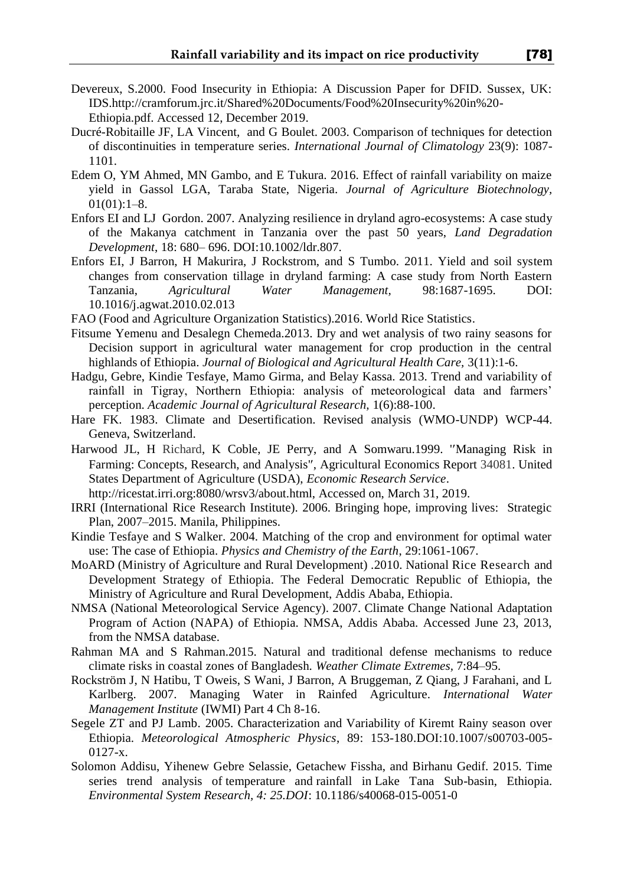- Devereux, S.2000. Food Insecurity in Ethiopia: A Discussion Paper for DFID. Sussex, UK: IDS.http://cramforum.jrc.it/Shared%20Documents/Food%20Insecurity%20in%20- Ethiopia.pdf. Accessed 12, December 2019.
- Ducré-Robitaille JF, LA Vincent, and G Boulet. 2003. Comparison of techniques for detection of discontinuities in temperature series. *International Journal of Climatology* 23(9): 1087- 1101.
- Edem O, YM Ahmed, MN Gambo, and E Tukura. 2016. Effect of rainfall variability on maize yield in Gassol LGA, Taraba State, Nigeria. *Journal of Agriculture Biotechnology,*  $01(01):1-8.$
- Enfors EI and LJ Gordon. 2007. Analyzing resilience in dryland agro-ecosystems: A case study of the Makanya catchment in Tanzania over the past 50 years, *Land Degradation Development*, 18: 680– 696. DOI:10.1002/ldr.807.
- Enfors EI, J Barron, H Makurira, J Rockstrom, and S Tumbo. 2011. Yield and soil system changes from conservation tillage in dryland farming: A case study from North Eastern Tanzania, *Agricultural Water Management,* 98:1687-1695. DOI: 10.1016/j.agwat.2010.02.013
- FAO (Food and Agriculture Organization Statistics).2016. World Rice Statistics.
- Fitsume Yemenu and Desalegn Chemeda.2013. Dry and wet analysis of two rainy seasons for Decision support in agricultural water management for crop production in the central highlands of Ethiopia. *Journal of Biological and Agricultural Health Care,* 3(11):1-6.
- Hadgu, Gebre, Kindie Tesfaye, Mamo Girma, and Belay Kassa. 2013. Trend and variability of rainfall in Tigray, Northern Ethiopia: analysis of meteorological data and farmers' perception. *Academic Journal of Agricultural Research,* 1(6):88-100.
- Hare FK. 1983. Climate and Desertification. Revised analysis (WMO-UNDP) WCP-44. Geneva, Switzerland.
- Harwood JL, H Richard, K Coble, JE Perry, and A Somwaru.1999. 'Managing Risk in Farming: Concepts, Research, and Analysis', Agricultural Economics Report 34081. United States Department of Agriculture (USDA), *Economic Research Service*.
	- http://ricestat.irri.org:8080/wrsv3/about.html, Accessed on, March 31, 2019.
- IRRI (International Rice Research Institute). 2006. Bringing hope, improving lives: Strategic Plan, 2007–2015. Manila, Philippines.
- Kindie Tesfaye and S Walker. 2004. Matching of the crop and environment for optimal water use: The case of Ethiopia. *Physics and Chemistry of the Earth*, 29:1061-1067.
- MoARD (Ministry of Agriculture and Rural Development) .2010. National Rice Research and Development Strategy of Ethiopia. The Federal Democratic Republic of Ethiopia, the Ministry of Agriculture and Rural Development, Addis Ababa, Ethiopia.
- NMSA (National Meteorological Service Agency). 2007. Climate Change National Adaptation Program of Action (NAPA) of Ethiopia. NMSA, Addis Ababa. Accessed June 23, 2013, from the NMSA database.
- Rahman MA and S Rahman.2015. Natural and traditional defense mechanisms to reduce climate risks in coastal zones of Bangladesh. *Weather Climate Extremes,* 7:84–95.
- Rockström J, N Hatibu, T Oweis, S Wani, J Barron, A Bruggeman, Z Qiang, J Farahani, and L Karlberg. 2007. Managing Water in Rainfed Agriculture. *International Water Management Institute* (IWMI) Part 4 Ch 8-16.
- Segele ZT and PJ Lamb. 2005. Characterization and Variability of Kiremt Rainy season over Ethiopia. *Meteorological Atmospheric Physics*, 89: 153-180.DOI:10.1007/s00703-005- 0127-x.
- Solomon Addisu, Yihenew Gebre Selassie, Getachew Fissha, and Birhanu Gedif. 2015. Time series trend analysis of temperature and rainfall in Lake Tana Sub-basin, Ethiopia. *Environmental System Research, 4: 25.DOI*: 10.1186/s40068-015-0051-0